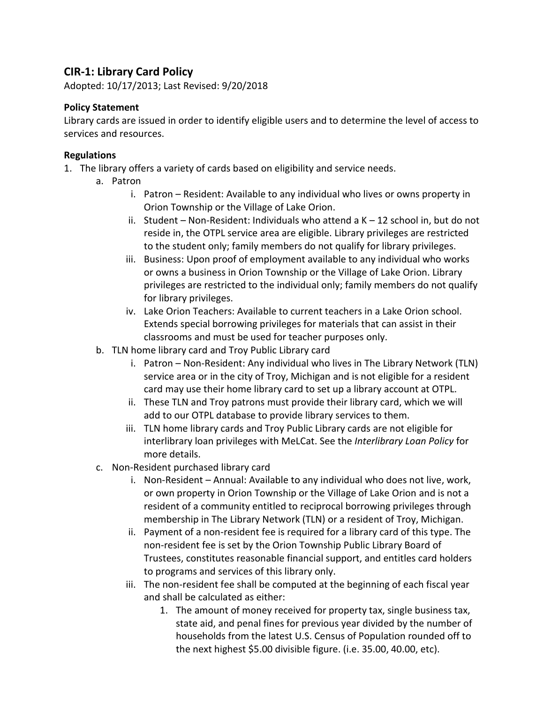## **CIR-1: Library Card Policy**

Adopted: 10/17/2013; Last Revised: 9/20/2018

## **Policy Statement**

Library cards are issued in order to identify eligible users and to determine the level of access to services and resources.

## **Regulations**

- 1. The library offers a variety of cards based on eligibility and service needs.
	- a. Patron
		- i. Patron Resident: Available to any individual who lives or owns property in Orion Township or the Village of Lake Orion.
		- ii. Student Non-Resident: Individuals who attend a  $K 12$  school in, but do not reside in, the OTPL service area are eligible. Library privileges are restricted to the student only; family members do not qualify for library privileges.
		- iii. Business: Upon proof of employment available to any individual who works or owns a business in Orion Township or the Village of Lake Orion. Library privileges are restricted to the individual only; family members do not qualify for library privileges.
		- iv. Lake Orion Teachers: Available to current teachers in a Lake Orion school. Extends special borrowing privileges for materials that can assist in their classrooms and must be used for teacher purposes only.
	- b. TLN home library card and Troy Public Library card
		- i. Patron Non-Resident: Any individual who lives in The Library Network (TLN) service area or in the city of Troy, Michigan and is not eligible for a resident card may use their home library card to set up a library account at OTPL.
		- ii. These TLN and Troy patrons must provide their library card, which we will add to our OTPL database to provide library services to them.
		- iii. TLN home library cards and Troy Public Library cards are not eligible for interlibrary loan privileges with MeLCat. See the *Interlibrary Loan Policy* for more details.
	- c. Non-Resident purchased library card
		- i. Non-Resident Annual: Available to any individual who does not live, work, or own property in Orion Township or the Village of Lake Orion and is not a resident of a community entitled to reciprocal borrowing privileges through membership in The Library Network (TLN) or a resident of Troy, Michigan.
		- ii. Payment of a non-resident fee is required for a library card of this type. The non-resident fee is set by the Orion Township Public Library Board of Trustees, constitutes reasonable financial support, and entitles card holders to programs and services of this library only.
		- iii. The non-resident fee shall be computed at the beginning of each fiscal year and shall be calculated as either:
			- 1. The amount of money received for property tax, single business tax, state aid, and penal fines for previous year divided by the number of households from the latest U.S. Census of Population rounded off to the next highest \$5.00 divisible figure. (i.e. 35.00, 40.00, etc).